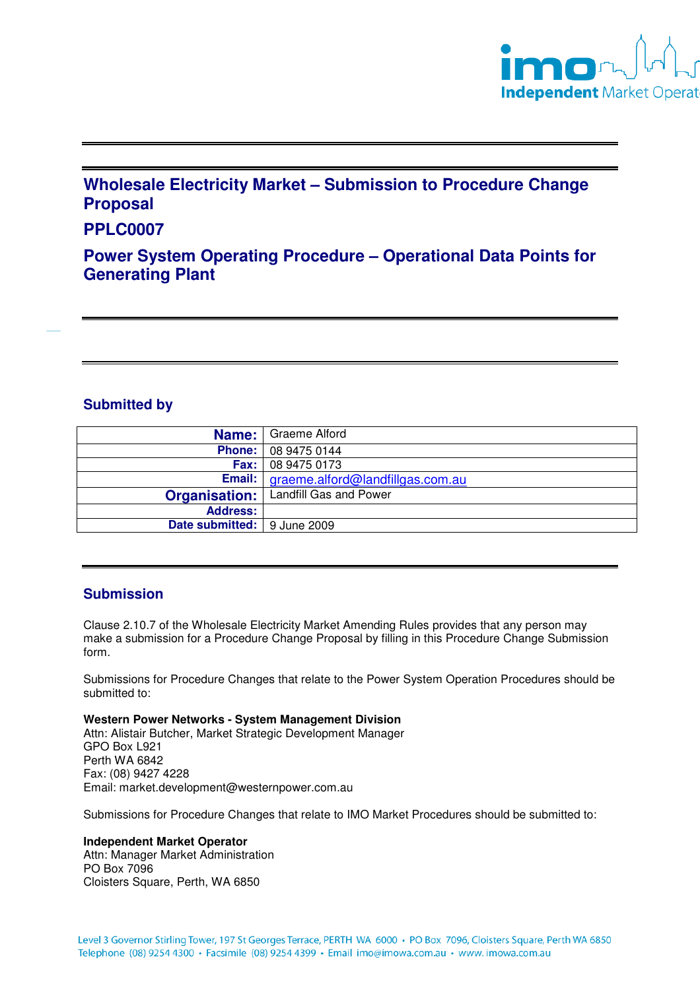

# **Wholesale Electricity Market – Submission to Procedure Change Proposal**

## **PPLC0007**

**Power System Operating Procedure – Operational Data Points for Generating Plant** 

## **Submitted by**

|                               | <b>Name:</b> Graeme Alford                    |
|-------------------------------|-----------------------------------------------|
|                               | <b>Phone:</b> 08 9475 0144                    |
|                               | <b>Fax:</b> 08 9475 0173                      |
|                               | Email:   graeme.alford@landfillgas.com.au     |
|                               | <b>Organisation:</b>   Landfill Gas and Power |
| <b>Address:</b>               |                                               |
| Date submitted:   9 June 2009 |                                               |

## **Submission**

Clause 2.10.7 of the Wholesale Electricity Market Amending Rules provides that any person may make a submission for a Procedure Change Proposal by filling in this Procedure Change Submission form.

Submissions for Procedure Changes that relate to the Power System Operation Procedures should be submitted to:

**Western Power Networks - System Management Division**

Attn: Alistair Butcher, Market Strategic Development Manager GPO Box L921 Perth WA 6842 Fax: (08) 9427 4228 Email: market.development@westernpower.com.au

Submissions for Procedure Changes that relate to IMO Market Procedures should be submitted to:

#### **Independent Market Operator**

Attn: Manager Market Administration PO Box 7096 Cloisters Square, Perth, WA 6850